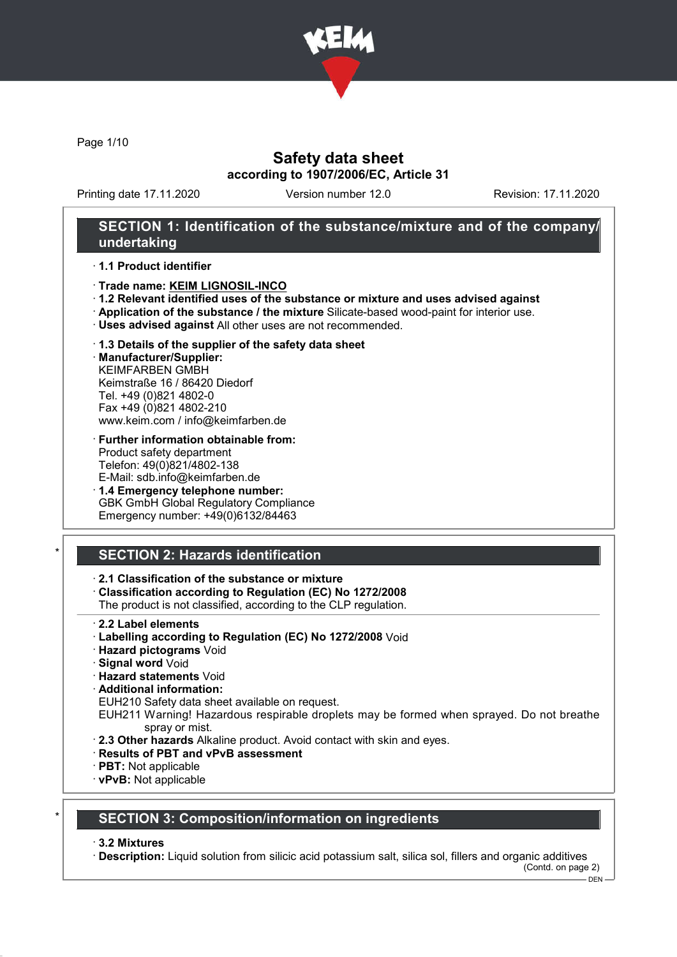

Page 1/10

# Safety data sheet according to 1907/2006/EC, Article 31

Printing date 17.11.2020 Version number 12.0 Revision: 17.11.2020

### SECTION 1: Identification of the substance/mixture and of the company/ undertaking

#### · 1.1 Product identifier

- · Trade name: KEIM LIGNOSIL-INCO
- · 1.2 Relevant identified uses of the substance or mixture and uses advised against
- · Application of the substance / the mixture Silicate-based wood-paint for interior use.
- · Uses advised against All other uses are not recommended.

### · 1.3 Details of the supplier of the safety data sheet

· Manufacturer/Supplier: KEIMFARBEN GMBH Keimstraße 16 / 86420 Diedorf Tel. +49 (0)821 4802-0 Fax +49 (0)821 4802-210 www.keim.com / info@keimfarben.de

- · Further information obtainable from: Product safety department Telefon: 49(0)821/4802-138 E-Mail: sdb.info@keimfarben.de
- · 1.4 Emergency telephone number: GBK GmbH Global Regulatory Compliance Emergency number: +49(0)6132/84463

# **SECTION 2: Hazards identification**

### · 2.1 Classification of the substance or mixture

· Classification according to Regulation (EC) No 1272/2008

The product is not classified, according to the CLP regulation.

- 2.2 Label elements
- · Labelling according to Regulation (EC) No 1272/2008 Void
- · Hazard pictograms Void
- · Signal word Void
- · Hazard statements Void
- · Additional information:

EUH210 Safety data sheet available on request.

EUH211 Warning! Hazardous respirable droplets may be formed when sprayed. Do not breathe spray or mist.

- · 2.3 Other hazards Alkaline product. Avoid contact with skin and eyes.
- · Results of PBT and vPvB assessment
- · PBT: Not applicable
- · vPvB: Not applicable

### **SECTION 3: Composition/information on ingredients**

#### · 3.2 Mixtures

· Description: Liquid solution from silicic acid potassium salt, silica sol, fillers and organic additives

(Contd. on page 2)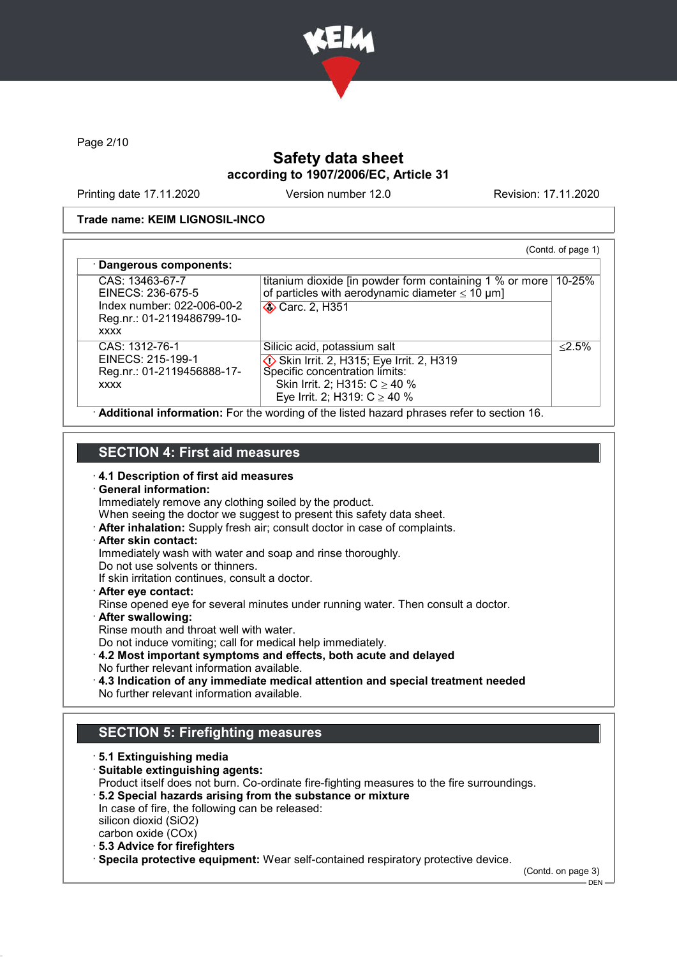

Page 2/10

# Safety data sheet according to 1907/2006/EC, Article 31

Printing date 17.11.2020 Version number 12.0 Revision: 17.11.2020

### Trade name: KEIM LIGNOSIL-INCO

| CAS: 13463-67-7<br>EINECS: 236-675-5<br>Index number: 022-006-00-2<br>Reg.nr.: 01-2119486799-10- | titanium dioxide [in powder form containing 1 % or more]<br>of particles with aerodynamic diameter $\leq 10 \ \mu m$ ]<br><b>◆ Carc. 2, H351</b>                                   | 10-25%    |
|--------------------------------------------------------------------------------------------------|------------------------------------------------------------------------------------------------------------------------------------------------------------------------------------|-----------|
| <b>XXXX</b>                                                                                      |                                                                                                                                                                                    |           |
| CAS: 1312-76-1<br>EINECS: 215-199-1<br>Reg.nr.: 01-2119456888-17-<br><b>XXXX</b>                 | Silicic acid, potassium salt<br>Skin Irrit. 2, H315; Eye Irrit. 2, H319<br>Specific concentration limits:<br>Skin Irrit. 2; H315: $C \ge 40$ %<br>Eye Irrit. 2; H319: $C \ge 40$ % | $< 2.5\%$ |

# SECTION 4: First aid measures

· 4.1 Description of first aid measures

- · General information: Immediately remove any clothing soiled by the product. When seeing the doctor we suggest to present this safety data sheet. · After inhalation: Supply fresh air; consult doctor in case of complaints. · After skin contact: Immediately wash with water and soap and rinse thoroughly. Do not use solvents or thinners. If skin irritation continues, consult a doctor. · After eye contact: Rinse opened eye for several minutes under running water. Then consult a doctor. · After swallowing: Rinse mouth and throat well with water. Do not induce vomiting; call for medical help immediately.
- · 4.2 Most important symptoms and effects, both acute and delayed No further relevant information available.
- · 4.3 Indication of any immediate medical attention and special treatment needed No further relevant information available.

# SECTION 5: Firefighting measures

· 5.1 Extinguishing media · Suitable extinguishing agents: Product itself does not burn. Co-ordinate fire-fighting measures to the fire surroundings. · 5.2 Special hazards arising from the substance or mixture In case of fire, the following can be released: silicon dioxid (SiO2) carbon oxide (COx) · 5.3 Advice for firefighters · Specila protective equipment: Wear self-contained respiratory protective device.

(Contd. on page 3)

 $-$  DEN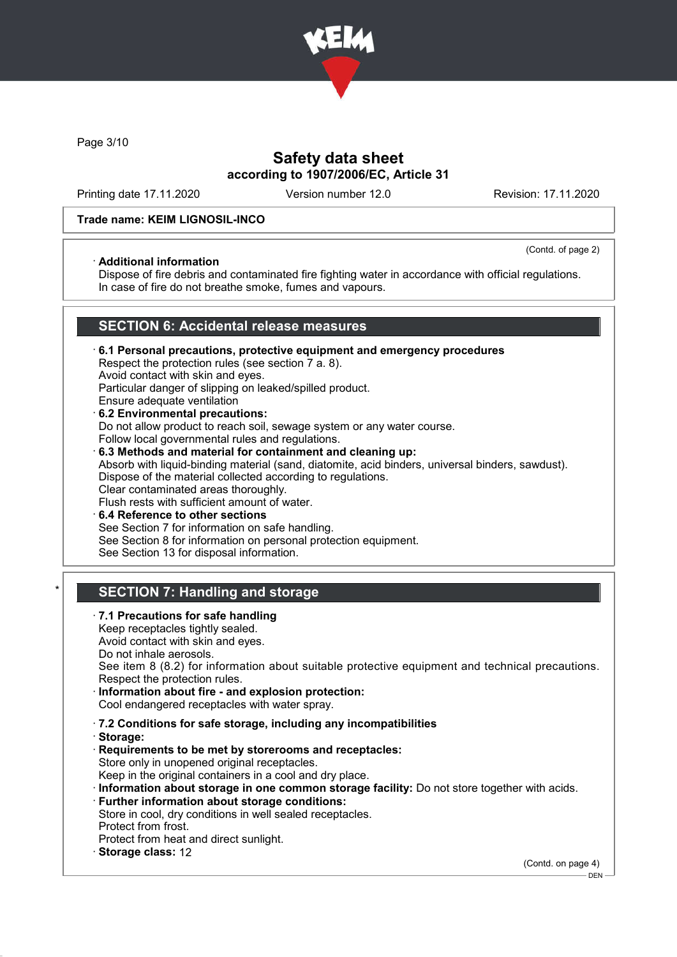

Page 3/10

# Safety data sheet according to 1907/2006/EC, Article 31

Printing date 17.11.2020 Version number 12.0 Revision: 17.11.2020

### Trade name: KEIM LIGNOSIL-INCO

### · Additional information

(Contd. of page 2)

Dispose of fire debris and contaminated fire fighting water in accordance with official regulations. In case of fire do not breathe smoke, fumes and vapours.

# SECTION 6: Accidental release measures

· 6.1 Personal precautions, protective equipment and emergency procedures Respect the protection rules (see section 7 a. 8). Avoid contact with skin and eyes. Particular danger of slipping on leaked/spilled product. Ensure adequate ventilation · 6.2 Environmental precautions: Do not allow product to reach soil, sewage system or any water course. Follow local governmental rules and regulations. · 6.3 Methods and material for containment and cleaning up:

Absorb with liquid-binding material (sand, diatomite, acid binders, universal binders, sawdust). Dispose of the material collected according to regulations. Clear contaminated areas thoroughly.

Flush rests with sufficient amount of water.

· 6.4 Reference to other sections See Section 7 for information on safe handling. See Section 8 for information on personal protection equipment. See Section 13 for disposal information.

# SECTION 7: Handling and storage

· 7.1 Precautions for safe handling Keep receptacles tightly sealed. Avoid contact with skin and eyes. Do not inhale aerosols. See item 8 (8.2) for information about suitable protective equipment and technical precautions. Respect the protection rules. Information about fire - and explosion protection: Cool endangered receptacles with water spray. · 7.2 Conditions for safe storage, including any incompatibilities · Storage: · Requirements to be met by storerooms and receptacles: Store only in unopened original receptacles. Keep in the original containers in a cool and dry place. · Information about storage in one common storage facility: Do not store together with acids. · Further information about storage conditions: Store in cool, dry conditions in well sealed receptacles. Protect from frost. Protect from heat and direct sunlight. Storage class: 12 (Contd. on page 4)  $-$  DEN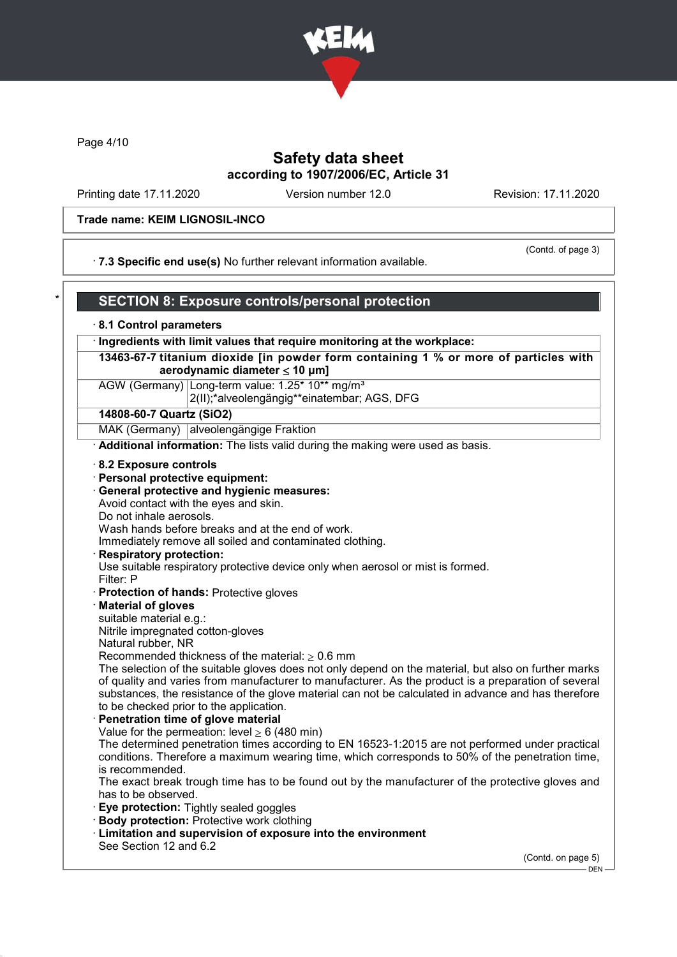

Page 4/10

# Safety data sheet according to 1907/2006/EC, Article 31

Printing date 17.11.2020 Version number 12.0 Revision: 17.11.2020

#### Trade name: KEIM LIGNOSIL-INCO

(Contd. of page 3)

· 7.3 Specific end use(s) No further relevant information available.

### SECTION 8: Exposure controls/personal protection

#### · 8.1 Control parameters

· Ingredients with limit values that require monitoring at the workplace:

13463-67-7 titanium dioxide [in powder form containing 1 % or more of particles with aerodynamic diameter  $\leq 10 \mu m$ ]

AGW (Germany) Long-term value: 1.25\* 10\*\* mg/m<sup>3</sup> 2(II);\*alveolengängig\*\*einatembar; AGS, DFG

### 14808-60-7 Quartz (SiO2)

MAK (Germany) alveolengängige Fraktion

Additional information: The lists valid during the making were used as basis.

#### · 8.2 Exposure controls

- · Personal protective equipment:
- · General protective and hygienic measures:

Avoid contact with the eyes and skin.

Do not inhale aerosols.

Wash hands before breaks and at the end of work.

Immediately remove all soiled and contaminated clothing.

#### **Respiratory protection:**

Use suitable respiratory protective device only when aerosol or mist is formed. Filter: P

· Protection of hands: Protective gloves

#### · Material of gloves

suitable material e.g.:

Nitrile impregnated cotton-gloves

Natural rubber, NR

Recommended thickness of the material:  $> 0.6$  mm

The selection of the suitable gloves does not only depend on the material, but also on further marks of quality and varies from manufacturer to manufacturer. As the product is a preparation of several substances, the resistance of the glove material can not be calculated in advance and has therefore to be checked prior to the application.

Penetration time of glove material Value for the permeation: level  $\geq 6$  (480 min)

The determined penetration times according to EN 16523-1:2015 are not performed under practical conditions. Therefore a maximum wearing time, which corresponds to 50% of the penetration time, is recommended.

The exact break trough time has to be found out by the manufacturer of the protective gloves and has to be observed.

- **Eve protection: Tightly sealed goggles**
- · Body protection: Protective work clothing
- · Limitation and supervision of exposure into the environment See Section 12 and 6.2

(Contd. on page 5)

 $-$  DEN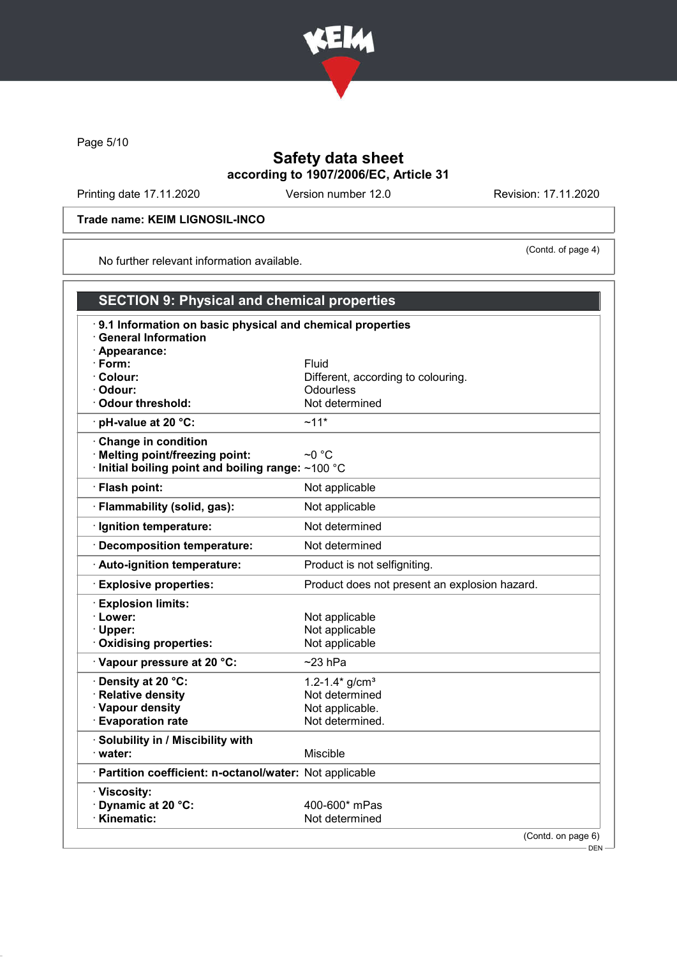

Page 5/10

# Safety data sheet according to 1907/2006/EC, Article 31

Printing date 17.11.2020 Version number 12.0 Revision: 17.11.2020

### Trade name: KEIM LIGNOSIL-INCO

(Contd. of page 4)

No further relevant information available.

| <b>SECTION 9: Physical and chemical properties</b>                                      |                                               |  |  |  |
|-----------------------------------------------------------------------------------------|-----------------------------------------------|--|--|--|
| 9.1 Information on basic physical and chemical properties<br><b>General Information</b> |                                               |  |  |  |
| · Appearance:<br>$\cdot$ Form:                                                          | Fluid                                         |  |  |  |
| · Colour:                                                                               | Different, according to colouring.            |  |  |  |
| · Odour:                                                                                | <b>Odourless</b>                              |  |  |  |
| Odour threshold:                                                                        | Not determined                                |  |  |  |
| · pH-value at 20 °C:                                                                    | $~11*$                                        |  |  |  |
|                                                                                         |                                               |  |  |  |
| Change in condition<br>· Melting point/freezing point:                                  | $\sim$ 0 °C                                   |  |  |  |
| Initial boiling point and boiling range: ~100 °C                                        |                                               |  |  |  |
|                                                                                         |                                               |  |  |  |
| · Flash point:                                                                          | Not applicable                                |  |  |  |
| · Flammability (solid, gas):                                                            | Not applicable                                |  |  |  |
| · Ignition temperature:                                                                 | Not determined                                |  |  |  |
| · Decomposition temperature:                                                            | Not determined                                |  |  |  |
| · Auto-ignition temperature:                                                            | Product is not selfigniting.                  |  |  |  |
| <b>Explosive properties:</b>                                                            | Product does not present an explosion hazard. |  |  |  |
| <b>Explosion limits:</b>                                                                |                                               |  |  |  |
| · Lower:                                                                                | Not applicable                                |  |  |  |
| · Upper:                                                                                | Not applicable                                |  |  |  |
| Oxidising properties:                                                                   | Not applicable                                |  |  |  |
| · Vapour pressure at 20 °C:                                                             | ~23 hPa                                       |  |  |  |
| · Density at 20 °C:                                                                     | 1.2-1.4* $g/cm3$                              |  |  |  |
| · Relative density                                                                      | Not determined                                |  |  |  |
| · Vapour density                                                                        | Not applicable.                               |  |  |  |
| <b>Evaporation rate</b>                                                                 | Not determined.                               |  |  |  |
| · Solubility in / Miscibility with                                                      |                                               |  |  |  |
| · water:                                                                                | Miscible                                      |  |  |  |
| · Partition coefficient: n-octanol/water: Not applicable                                |                                               |  |  |  |
| · Viscosity:                                                                            |                                               |  |  |  |
| Dynamic at 20 °C:                                                                       | 400-600* mPas                                 |  |  |  |
| · Kinematic:                                                                            | Not determined                                |  |  |  |
|                                                                                         | (Contd. on page 6)                            |  |  |  |

DEN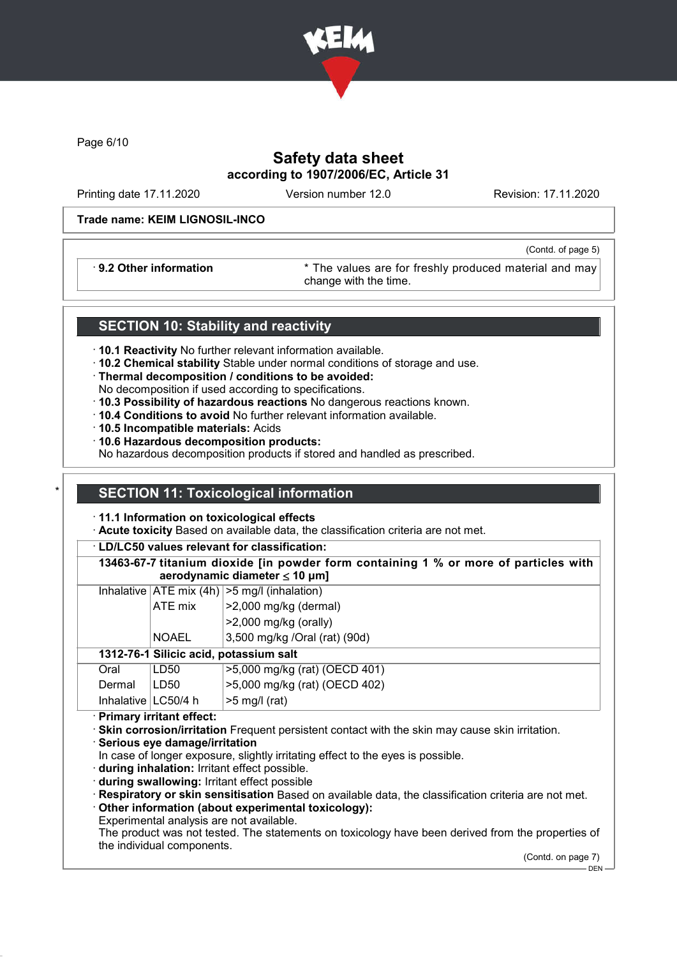

Page 6/10

# Safety data sheet according to 1907/2006/EC, Article 31

Printing date 17.11.2020 Version number 12.0 Revision: 17.11.2020

(Contd. of page 5)

#### Trade name: KEIM LIGNOSIL-INCO

· 9.2 Other information \* The values are for freshly produced material and may change with the time.

### SECTION 10: Stability and reactivity

- · 10.1 Reactivity No further relevant information available.
- · 10.2 Chemical stability Stable under normal conditions of storage and use.
- · Thermal decomposition / conditions to be avoided:
- No decomposition if used according to specifications.
- · 10.3 Possibility of hazardous reactions No dangerous reactions known.
- · 10.4 Conditions to avoid No further relevant information available.
- · 10.5 Incompatible materials: Acids
- · 10.6 Hazardous decomposition products:

No hazardous decomposition products if stored and handled as prescribed.

### **SECTION 11: Toxicological information**

- · 11.1 Information on toxicological effects
- · Acute toxicity Based on available data, the classification criteria are not met.

· LD/LC50 values relevant for classification:

13463-67-7 titanium dioxide [in powder form containing 1 % or more of particles with aerodynamic diameter < 10 uml

|                                        |                          | Inhalative $ ATE \text{ mix } (4h)   > 5 \text{ mg/l } (inhalation)$ |
|----------------------------------------|--------------------------|----------------------------------------------------------------------|
|                                        | ATE mix                  | $>2,000$ mg/kg (dermal)                                              |
|                                        |                          | $>2,000$ mg/kg (orally)                                              |
|                                        | <b>NOAEL</b>             | 3,500 mg/kg /Oral (rat) (90d)                                        |
| 1312-76-1 Silicic acid, potassium salt |                          |                                                                      |
| Oral                                   | LD50                     | >5,000 mg/kg (rat) (OECD 401)                                        |
| Dermal                                 | LD50                     | >5,000 mg/kg (rat) (OECD 402)                                        |
| Inhalative   LC50/4 h                  |                          | $>5$ mg/l (rat)                                                      |
|                                        | Primary irritant effect: |                                                                      |
|                                        |                          |                                                                      |

· Skin corrosion/irritation Frequent persistent contact with the skin may cause skin irritation.

· Serious eye damage/irritation

In case of longer exposure, slightly irritating effect to the eyes is possible.

· during inhalation: Irritant effect possible.

- · during swallowing: Irritant effect possible
- · Respiratory or skin sensitisation Based on available data, the classification criteria are not met.
- Other information (about experimental toxicology):

Experimental analysis are not available.

The product was not tested. The statements on toxicology have been derived from the properties of the individual components.

(Contd. on page 7)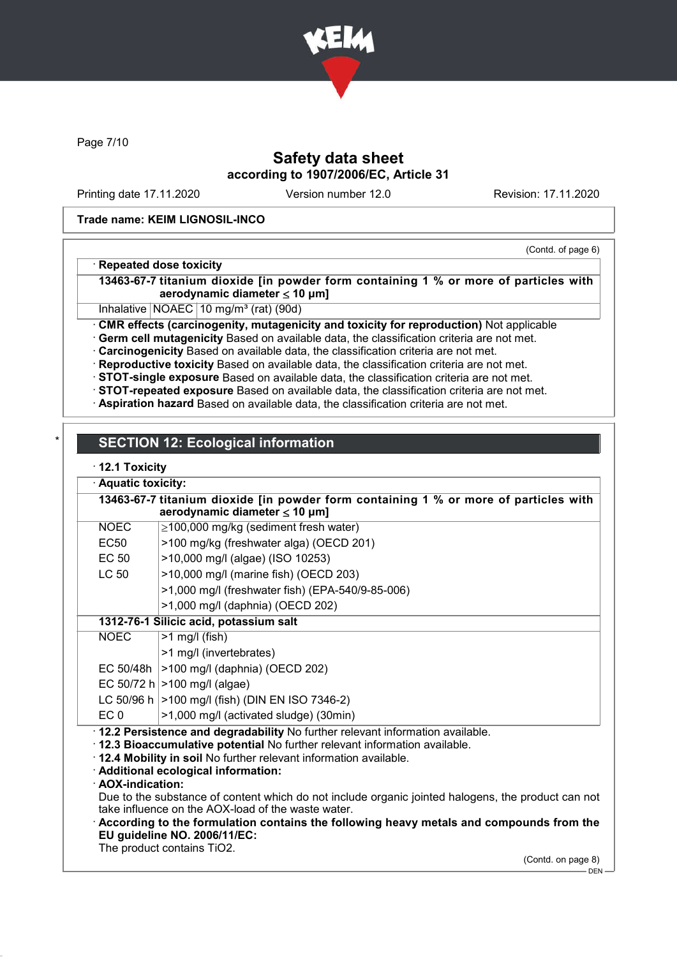

Page 7/10

# Safety data sheet according to 1907/2006/EC, Article 31

Printing date 17.11.2020 Version number 12.0 Revision: 17.11.2020

#### Trade name: KEIM LIGNOSIL-INCO

### (Contd. of page 6)

### · Repeated dose toxicity

13463-67-7 titanium dioxide [in powder form containing 1 % or more of particles with aerodynamic diameter  $\leq 10 \mu m$ ]

Inhalative  $NOAEC$  10 mg/m<sup>3</sup> (rat) (90d)

· CMR effects (carcinogenity, mutagenicity and toxicity for reproduction) Not applicable

· Germ cell mutagenicity Based on available data, the classification criteria are not met.

· Carcinogenicity Based on available data, the classification criteria are not met.

· Reproductive toxicity Based on available data, the classification criteria are not met.

· STOT-single exposure Based on available data, the classification criteria are not met.

· STOT-repeated exposure Based on available data, the classification criteria are not met.

· Aspiration hazard Based on available data, the classification criteria are not met.

# **SECTION 12: Ecological information**

### · 12.1 Toxicity

|                                                                                                                            | Aquatic toxicity:                                                                                  |                                                                                         |  |  |  |
|----------------------------------------------------------------------------------------------------------------------------|----------------------------------------------------------------------------------------------------|-----------------------------------------------------------------------------------------|--|--|--|
| 13463-67-7 titanium dioxide [in powder form containing 1 % or more of particles with<br>aerodynamic diameter $\leq 10$ µm] |                                                                                                    |                                                                                         |  |  |  |
|                                                                                                                            | <b>NOEC</b>                                                                                        | $\geq$ 100,000 mg/kg (sediment fresh water)                                             |  |  |  |
|                                                                                                                            | <b>EC50</b>                                                                                        | >100 mg/kg (freshwater alga) (OECD 201)                                                 |  |  |  |
|                                                                                                                            | <b>EC 50</b>                                                                                       | >10,000 mg/l (algae) (ISO 10253)                                                        |  |  |  |
|                                                                                                                            | <b>LC 50</b>                                                                                       | >10,000 mg/l (marine fish) (OECD 203)                                                   |  |  |  |
|                                                                                                                            |                                                                                                    | >1,000 mg/l (freshwater fish) (EPA-540/9-85-006)                                        |  |  |  |
|                                                                                                                            |                                                                                                    | >1,000 mg/l (daphnia) (OECD 202)                                                        |  |  |  |
| 1312-76-1 Silicic acid, potassium salt                                                                                     |                                                                                                    |                                                                                         |  |  |  |
|                                                                                                                            | <b>NOEC</b>                                                                                        | $>1$ mg/l (fish)                                                                        |  |  |  |
|                                                                                                                            |                                                                                                    | >1 mg/l (invertebrates)                                                                 |  |  |  |
|                                                                                                                            | EC 50/48h                                                                                          | >100 mg/l (daphnia) (OECD 202)                                                          |  |  |  |
|                                                                                                                            |                                                                                                    | EC 50/72 h $>100$ mg/l (algae)                                                          |  |  |  |
|                                                                                                                            |                                                                                                    | LC 50/96 h   > 100 mg/l (fish) (DIN EN ISO 7346-2)                                      |  |  |  |
|                                                                                                                            | EC <sub>0</sub>                                                                                    | >1,000 mg/l (activated sludge) (30min)                                                  |  |  |  |
| · 12.2 Persistence and degradability No further relevant information available.                                            |                                                                                                    |                                                                                         |  |  |  |
|                                                                                                                            |                                                                                                    | 12.3 Bioaccumulative potential No further relevant information available.               |  |  |  |
|                                                                                                                            |                                                                                                    | . 12.4 Mobility in soil No further relevant information available.                      |  |  |  |
|                                                                                                                            | · Additional ecological information:<br>· AOX-indication:                                          |                                                                                         |  |  |  |
|                                                                                                                            | Due to the substance of content which do not include organic jointed halogens, the product can not |                                                                                         |  |  |  |
|                                                                                                                            |                                                                                                    | take influence on the AOX-load of the waste water.                                      |  |  |  |
|                                                                                                                            |                                                                                                    | According to the formulation contains the following heavy metals and compounds from the |  |  |  |
|                                                                                                                            | EU guideline NO. 2006/11/EC:                                                                       |                                                                                         |  |  |  |
|                                                                                                                            | The product contains TiO2.                                                                         |                                                                                         |  |  |  |

(Contd. on page 8) DEN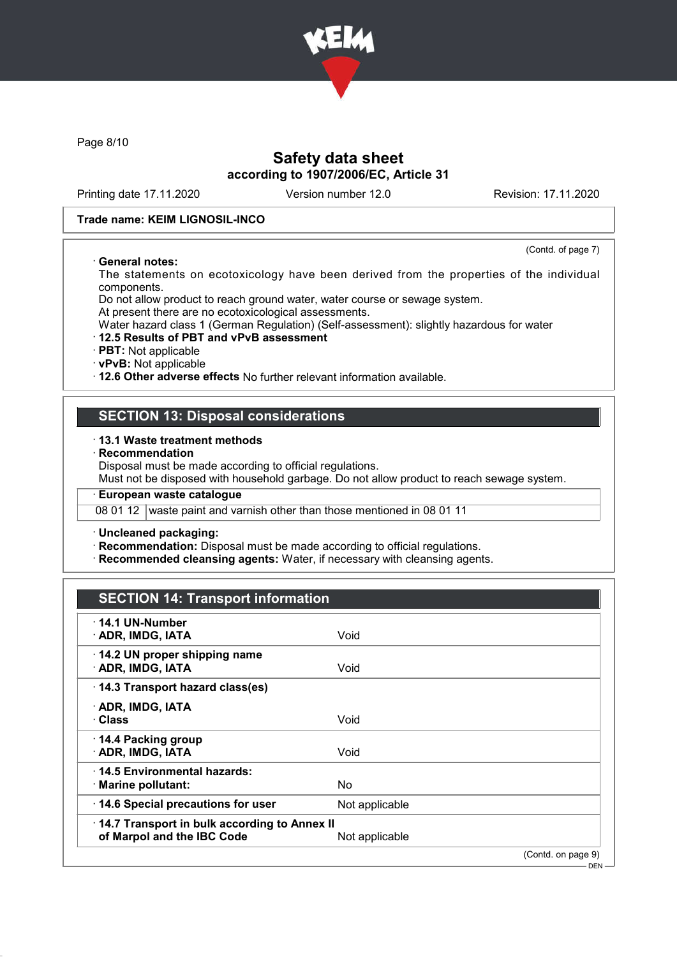

Page 8/10

# Safety data sheet according to 1907/2006/EC, Article 31

Printing date 17.11.2020 Version number 12.0 Revision: 17.11.2020

(Contd. of page 7)

DEN

#### Trade name: KEIM LIGNOSIL-INCO

#### · General notes:

The statements on ecotoxicology have been derived from the properties of the individual components.

Do not allow product to reach ground water, water course or sewage system.

At present there are no ecotoxicological assessments.

Water hazard class 1 (German Regulation) (Self-assessment): slightly hazardous for water

#### · 12.5 Results of PBT and vPvB assessment

· PBT: Not applicable

· vPvB: Not applicable

· 12.6 Other adverse effects No further relevant information available.

### SECTION 13: Disposal considerations

#### · 13.1 Waste treatment methods

**Recommendation** 

Disposal must be made according to official regulations.

Must not be disposed with household garbage. Do not allow product to reach sewage system.

· European waste catalogue

08 01 12 waste paint and varnish other than those mentioned in 08 01 11

· Uncleaned packaging:

· Recommendation: Disposal must be made according to official regulations.

· Recommended cleansing agents: Water, if necessary with cleansing agents.

# SECTION 14: Transport information

| $\cdot$ 14.1 UN-Number<br>· ADR, IMDG, IATA                                | Void           |                    |
|----------------------------------------------------------------------------|----------------|--------------------|
| 14.2 UN proper shipping name<br>· ADR, IMDG, IATA                          | Void           |                    |
| 14.3 Transport hazard class(es)                                            |                |                    |
| · ADR, IMDG, IATA<br>· Class                                               | Void           |                    |
| 14.4 Packing group<br>· ADR, IMDG, IATA                                    | Void           |                    |
| $\cdot$ 14.5 Environmental hazards:<br>· Marine pollutant:                 | No.            |                    |
| 14.6 Special precautions for user                                          | Not applicable |                    |
| 14.7 Transport in bulk according to Annex II<br>of Marpol and the IBC Code | Not applicable |                    |
|                                                                            |                | (Contd. on page 9) |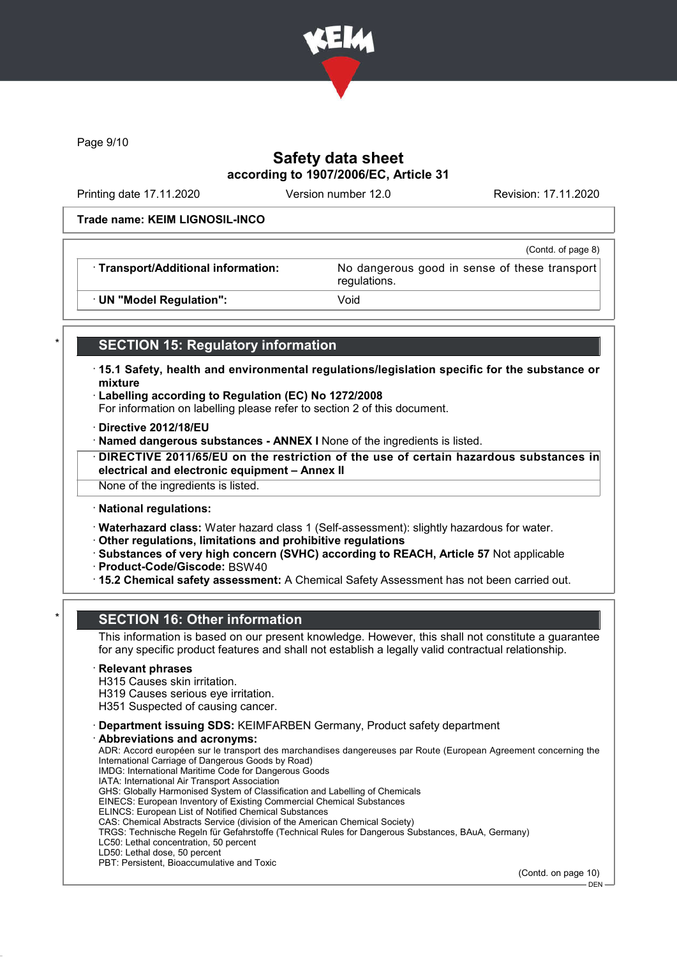

Page 9/10

# Safety data sheet according to 1907/2006/EC, Article 31

Printing date 17.11.2020 Version number 12.0 Revision: 17.11.2020

(Contd. of page 8)

#### Trade name: KEIM LIGNOSIL-INCO

· Transport/Additional information: No dangerous good in sense of these transport

regulations.

· UN "Model Regulation": Void

# **SECTION 15: Regulatory information**

- · 15.1 Safety, health and environmental regulations/legislation specific for the substance or mixture
- · Labelling according to Regulation (EC) No 1272/2008
- For information on labelling please refer to section 2 of this document.
- · Directive 2012/18/EU
- · Named dangerous substances ANNEX I None of the ingredients is listed.
- · DIRECTIVE 2011/65/EU on the restriction of the use of certain hazardous substances in electrical and electronic equipment – Annex II

None of the ingredients is listed.

· National regulations:

· Waterhazard class: Water hazard class 1 (Self-assessment): slightly hazardous for water.

- · Other regulations, limitations and prohibitive regulations
- · Substances of very high concern (SVHC) according to REACH, Article 57 Not applicable · Product-Code/Giscode: BSW40
- · 15.2 Chemical safety assessment: A Chemical Safety Assessment has not been carried out.

# **SECTION 16: Other information**

This information is based on our present knowledge. However, this shall not constitute a guarantee for any specific product features and shall not establish a legally valid contractual relationship.

#### **Relevant phrases**

H315 Causes skin irritation.

H319 Causes serious eye irritation.

H351 Suspected of causing cancer.

- · Department issuing SDS: KEIMFARBEN Germany, Product safety department
- Abbreviations and acronyms: ADR: Accord européen sur le transport des marchandises dangereuses par Route (European Agreement concerning the International Carriage of Dangerous Goods by Road) IMDG: International Maritime Code for Dangerous Goods IATA: International Air Transport Association GHS: Globally Harmonised System of Classification and Labelling of Chemicals EINECS: European Inventory of Existing Commercial Chemical Substances ELINCS: European List of Notified Chemical Substances CAS: Chemical Abstracts Service (division of the American Chemical Society) TRGS: Technische Regeln für Gefahrstoffe (Technical Rules for Dangerous Substances, BAuA, Germany) LC50: Lethal concentration, 50 percent LD50: Lethal dose, 50 percent PBT: Persistent, Bioaccumulative and Toxic

(Contd. on page 10)